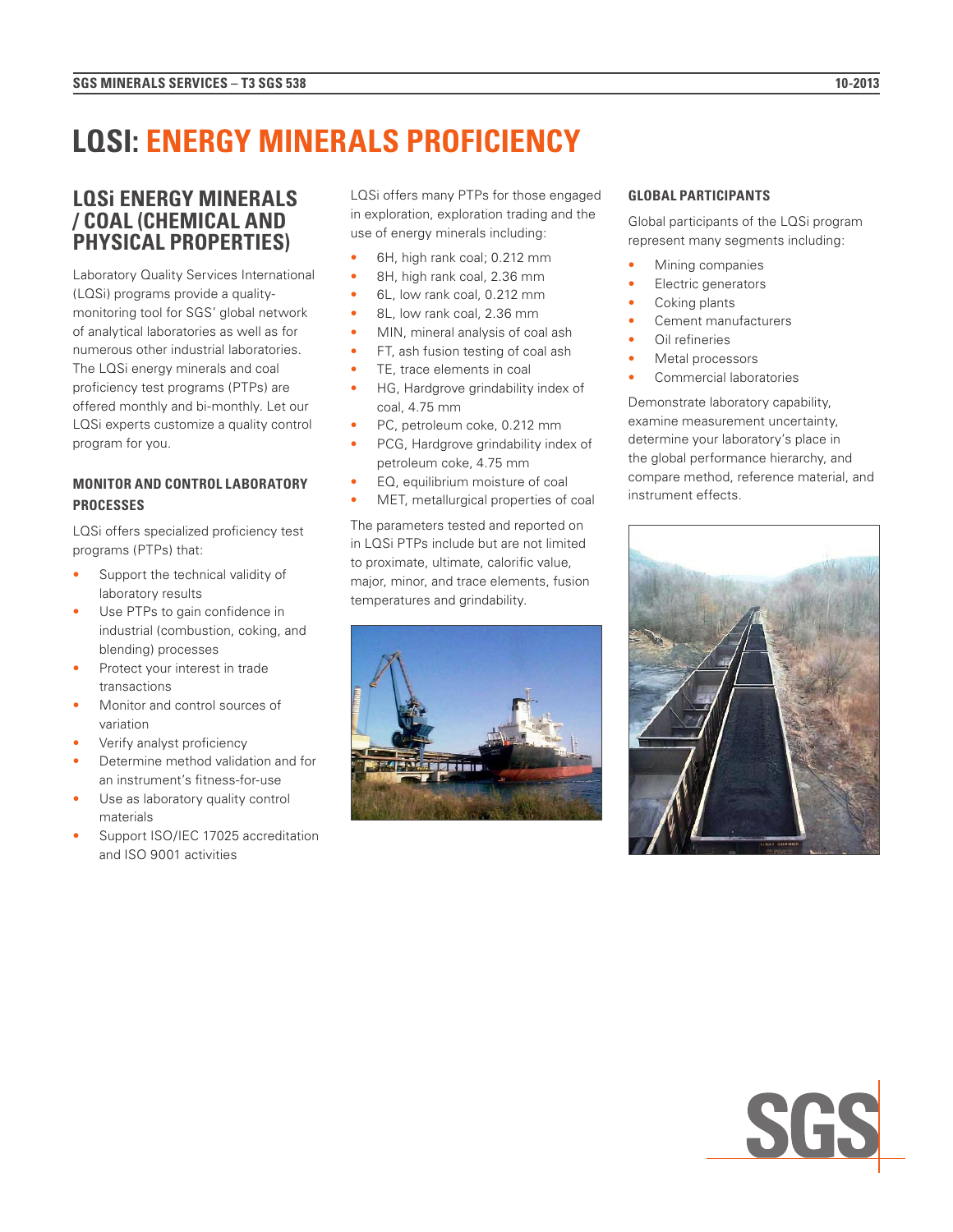# **LQSI: ENERGY MINERALS PROFICIENCY**

## **LQSi ENERGY MINERALS / COAL (CHEMICAL AND PHYSICAL PROPERTIES)**

Laboratory Quality Services International (LQSi) programs provide a qualitymonitoring tool for SGS' global network of analytical laboratories as well as for numerous other industrial laboratories. The LQSi energy minerals and coal proficiency test programs (PTPs) are offered monthly and bi-monthly. Let our LQSi experts customize a quality control program for you.

### **MONITOR AND CONTROL LABORATORY PROCESSES**

LQSi offers specialized proficiency test programs (PTPs) that:

- Support the technical validity of laboratory results
- Use PTPs to gain confidence in industrial (combustion, coking, and blending) processes
- Protect your interest in trade transactions
- Monitor and control sources of variation
- Verify analyst proficiency
- Determine method validation and for an instrument's fitness-for-use
- Use as laboratory quality control materials
- Support ISO/IEC 17025 accreditation and ISO 9001 activities

LQSi offers many PTPs for those engaged in exploration, exploration trading and the use of energy minerals including:

- 6H, high rank coal; 0.212 mm
- 8H, high rank coal, 2.36 mm
- 6L, low rank coal, 0.212 mm
- 8L, low rank coal, 2.36 mm
- MIN, mineral analysis of coal ash
- FT, ash fusion testing of coal ash
- TE, trace elements in coal
- HG, Hardgrove grindability index of coal, 4.75 mm
- PC, petroleum coke, 0.212 mm
- PCG, Hardgrove grindability index of petroleum coke, 4.75 mm
- EQ, equilibrium moisture of coal
- MET, metallurgical properties of coal

The parameters tested and reported on in LQSi PTPs include but are not limited to proximate, ultimate, calorific value, major, minor, and trace elements, fusion temperatures and grindability.



#### **GLOBAL PARTICIPANTS**

Global participants of the LQSi program represent many segments including:

- Mining companies
- Electric generators
- Coking plants
	- Cement manufacturers
	- Oil refineries
	- Metal processors
	- Commercial laboratories

Demonstrate laboratory capability, examine measurement uncertainty, determine your laboratory's place in the global performance hierarchy, and compare method, reference material, and instrument effects.